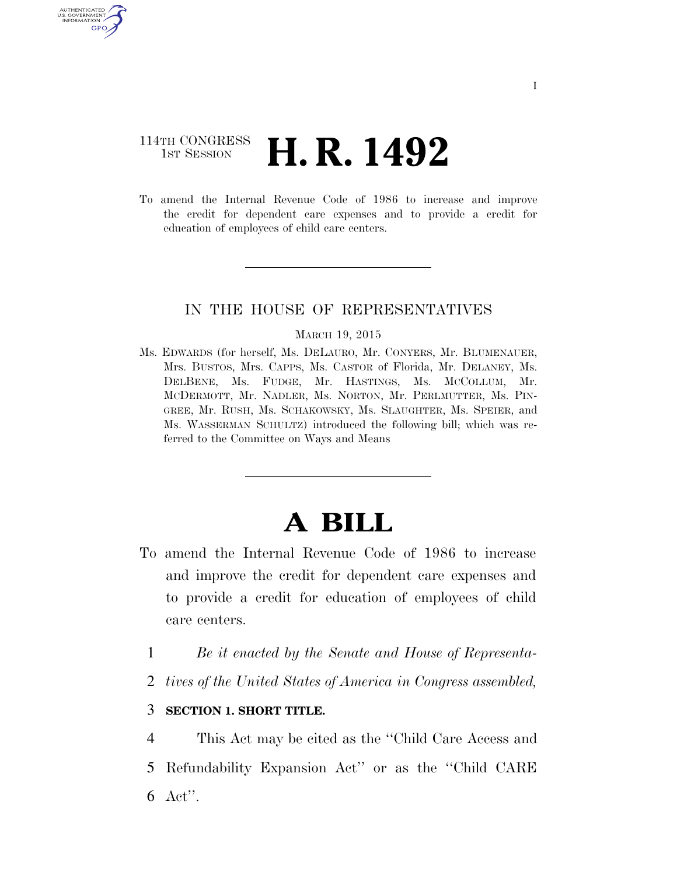## 114TH CONGRESS **1st Session H. R. 1492**

U.S. GOVERNMENT GPO

> To amend the Internal Revenue Code of 1986 to increase and improve the credit for dependent care expenses and to provide a credit for education of employees of child care centers.

### IN THE HOUSE OF REPRESENTATIVES

#### MARCH 19, 2015

Ms. EDWARDS (for herself, Ms. DELAURO, Mr. CONYERS, Mr. BLUMENAUER, Mrs. BUSTOS, Mrs. CAPPS, Ms. CASTOR of Florida, Mr. DELANEY, Ms. DELBENE, Ms. FUDGE, Mr. HASTINGS, Ms. MCCOLLUM, Mr. MCDERMOTT, Mr. NADLER, Ms. NORTON, Mr. PERLMUTTER, Ms. PIN-GREE, Mr. RUSH, Ms. SCHAKOWSKY, Ms. SLAUGHTER, Ms. SPEIER, and Ms. WASSERMAN SCHULTZ) introduced the following bill; which was referred to the Committee on Ways and Means

# **A BILL**

- To amend the Internal Revenue Code of 1986 to increase and improve the credit for dependent care expenses and to provide a credit for education of employees of child care centers.
	- 1 *Be it enacted by the Senate and House of Representa-*
	- 2 *tives of the United States of America in Congress assembled,*

### 3 **SECTION 1. SHORT TITLE.**

4 This Act may be cited as the ''Child Care Access and 5 Refundability Expansion Act'' or as the ''Child CARE 6 Act''.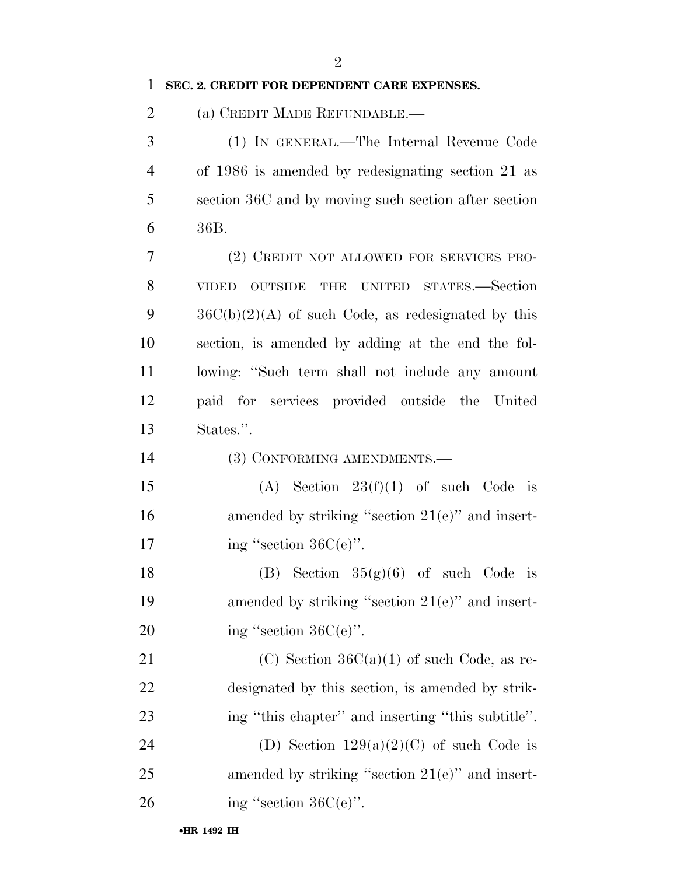### 1 **SEC. 2. CREDIT FOR DEPENDENT CARE EXPENSES.**

2 (a) CREDIT MADE REFUNDABLE.—

 (1) IN GENERAL.—The Internal Revenue Code of 1986 is amended by redesignating section 21 as section 36C and by moving such section after section 6 36B.

 (2) CREDIT NOT ALLOWED FOR SERVICES PRO- VIDED OUTSIDE THE UNITED STATES.—Section  $36C(b)(2)(A)$  of such Code, as redesignated by this section, is amended by adding at the end the fol- lowing: ''Such term shall not include any amount paid for services provided outside the United States.''.

14 (3) CONFORMING AMENDMENTS.—

15 (A) Section  $23(f)(1)$  of such Code is 16 amended by striking "section 21(e)" and insert-17 ing "section  $36C(e)$ ".

18 (B) Section  $35(g)(6)$  of such Code is 19 amended by striking ''section 21(e)'' and insert-20 ing "section  $36C(e)$ ".

21 (C) Section  $36C(a)(1)$  of such Code, as re-22 designated by this section, is amended by strik-23 ing ''this chapter'' and inserting ''this subtitle''.

24 (D) Section  $129(a)(2)(C)$  of such Code is 25 amended by striking "section 21(e)" and insert-26 ing "section  $36C(e)$ ".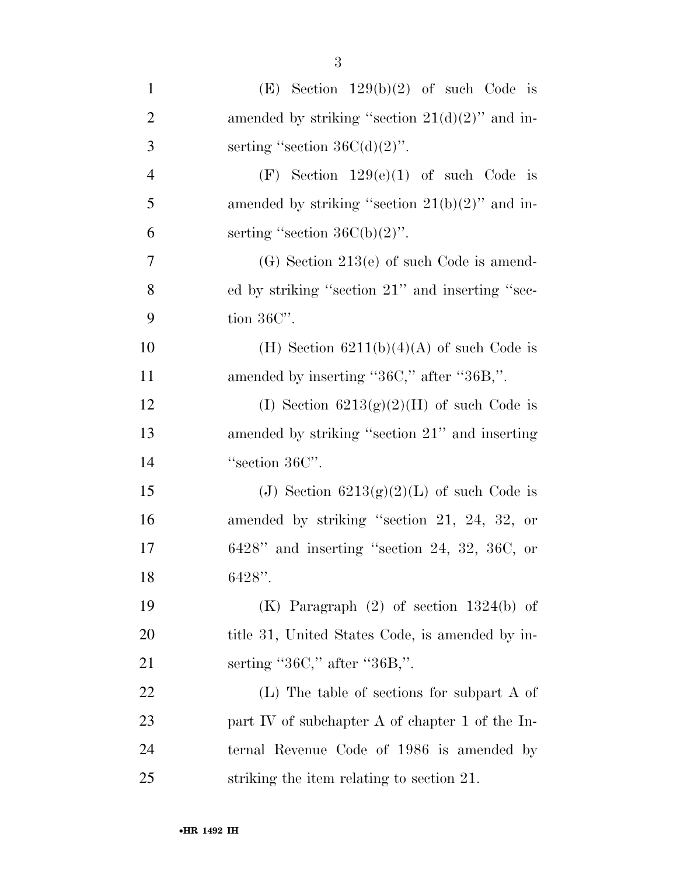| $\mathbf{1}$   | (E) Section $129(b)(2)$ of such Code is           |
|----------------|---------------------------------------------------|
| $\overline{2}$ | amended by striking "section $21(d)(2)$ " and in- |
| 3              | serting "section $36C(d)(2)$ ".                   |
| $\overline{4}$ | (F) Section $129(e)(1)$ of such Code is           |
| 5              | amended by striking "section $21(b)(2)$ " and in- |
| 6              | serting "section $36C(b)(2)$ ".                   |
| $\tau$         | $(G)$ Section 213(e) of such Code is amend-       |
| 8              | ed by striking "section 21" and inserting "sec-   |
| 9              | tion $36C$ .                                      |
| 10             | (H) Section $6211(b)(4)(A)$ of such Code is       |
| 11             | amended by inserting "36C," after "36B,".         |
| 12             | (I) Section $6213(g)(2)(H)$ of such Code is       |
| 13             | amended by striking "section 21" and inserting    |
| 14             | "section 36C".                                    |
| 15             | (J) Section $6213(g)(2)(L)$ of such Code is       |
| 16             | amended by striking "section 21, 24, 32, or       |
| 17             | $6428"$ and inserting "section 24, 32, 36C, or    |
| 18             | $6428"$ .                                         |
| 19             | $(K)$ Paragraph $(2)$ of section 1324(b) of       |
| 20             | title 31, United States Code, is amended by in-   |
| 21             | serting " $36C$ ," after " $36B$ ,".              |
| 22             | $(L)$ The table of sections for subpart A of      |
| 23             | part IV of subchapter A of chapter 1 of the In-   |
| 24             | ternal Revenue Code of 1986 is amended by         |
| 25             | striking the item relating to section 21.         |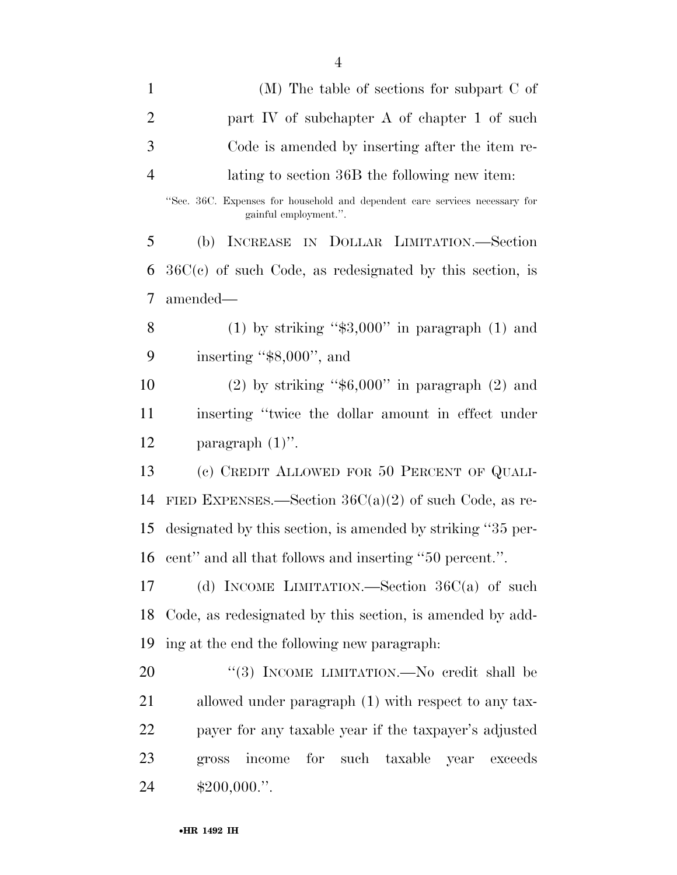| $\mathbf{1}$   | $(M)$ The table of sections for subpart C of                                                         |
|----------------|------------------------------------------------------------------------------------------------------|
| $\overline{2}$ | part IV of subchapter A of chapter 1 of such                                                         |
| 3              | Code is amended by inserting after the item re-                                                      |
| $\overline{4}$ | lating to section 36B the following new item:                                                        |
|                | "Sec. 36C. Expenses for household and dependent care services necessary for<br>gainful employment.". |
| 5              | (b) INCREASE IN DOLLAR LIMITATION.-Section                                                           |
| 6              | $36C(c)$ of such Code, as redesignated by this section, is                                           |
| 7              | amended—                                                                                             |
| 8              | (1) by striking " $\$3,000"$ in paragraph (1) and                                                    |
| 9              | inserting "\$8,000", and                                                                             |
| 10             | $(2)$ by striking "\$6,000" in paragraph $(2)$ and                                                   |
| 11             | inserting "twice the dollar amount in effect under                                                   |
| 12             | paragraph $(1)$ ".                                                                                   |
| 13             | (c) CREDIT ALLOWED FOR 50 PERCENT OF QUALI-                                                          |
| 14             | FIED EXPENSES.—Section $36C(a)(2)$ of such Code, as re-                                              |
| 15             | designated by this section, is amended by striking "35 per-                                          |
| 16             | cent" and all that follows and inserting "50 percent.".                                              |
| 17             | (d) INCOME LIMITATION.—Section $36C(a)$ of such                                                      |
| 18             | Code, as redesignated by this section, is amended by add-                                            |
| 19             | ing at the end the following new paragraph:                                                          |
| 20             | "(3) INCOME LIMITATION.—No credit shall be                                                           |
| 21             | allowed under paragraph (1) with respect to any tax-                                                 |
| 22             | payer for any taxable year if the taxpayer's adjusted                                                |
| 23             | for such taxable year<br>income<br>exceeds<br>gross                                                  |
| 24             | $$200,000."$ .                                                                                       |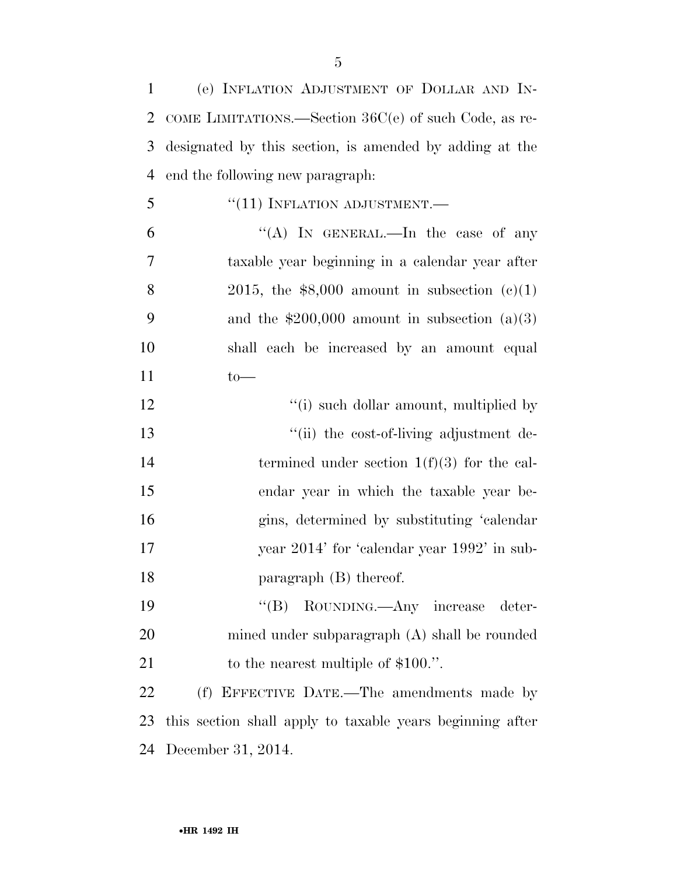| $\mathbf{1}$   | (e) INFLATION ADJUSTMENT OF DOLLAR AND IN-                |
|----------------|-----------------------------------------------------------|
| 2              | COME LIMITATIONS.—Section 36C(e) of such Code, as re-     |
| 3              | designated by this section, is amended by adding at the   |
| $\overline{4}$ | end the following new paragraph.                          |
| 5              | $``(11)$ INFLATION ADJUSTMENT.—                           |
| 6              | "(A) IN GENERAL.—In the case of any                       |
| 7              | taxable year beginning in a calendar year after           |
| 8              | 2015, the $$8,000$ amount in subsection (c)(1)            |
| 9              | and the $$200,000$ amount in subsection $(a)(3)$          |
| 10             | shall each be increased by an amount equal                |
| 11             | $to-$                                                     |
| 12             | "(i) such dollar amount, multiplied by                    |
| 13             | "(ii) the cost-of-living adjustment de-                   |
| 14             | termined under section $1(f)(3)$ for the cal-             |
| 15             | endar year in which the taxable year be-                  |
| 16             | gins, determined by substituting 'calendar                |
| 17             | year 2014' for 'calendar year 1992' in sub-               |
| 18             | paragraph $(B)$ thereof.                                  |
| 19             | $\lq\lq (B)$<br>ROUNDING.—Any increase deter-             |
| 20             | mined under subparagraph (A) shall be rounded             |
| 21             | to the nearest multiple of $$100."$ .                     |
| 22             | (f) EFFECTIVE DATE.—The amendments made by                |
| 23             | this section shall apply to taxable years beginning after |
| 24             | December 31, 2014.                                        |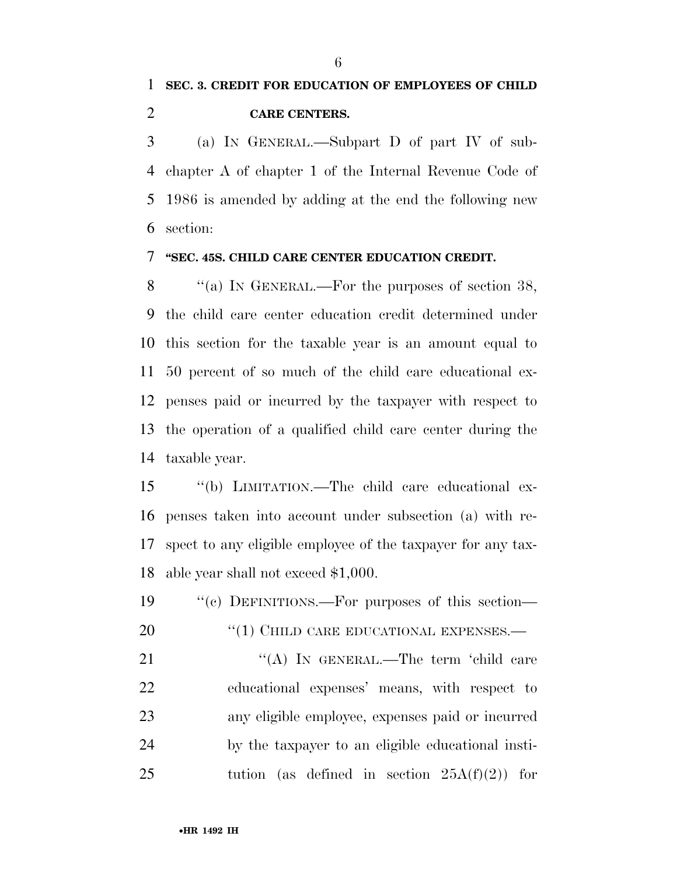(a) IN GENERAL.—Subpart D of part IV of sub- chapter A of chapter 1 of the Internal Revenue Code of 1986 is amended by adding at the end the following new section:

### **''SEC. 45S. CHILD CARE CENTER EDUCATION CREDIT.**

8 "(a) IN GENERAL.—For the purposes of section 38, the child care center education credit determined under this section for the taxable year is an amount equal to 50 percent of so much of the child care educational ex- penses paid or incurred by the taxpayer with respect to the operation of a qualified child care center during the taxable year.

 ''(b) LIMITATION.—The child care educational ex- penses taken into account under subsection (a) with re- spect to any eligible employee of the taxpayer for any tax-able year shall not exceed \$1,000.

 ''(c) DEFINITIONS.—For purposes of this section— 20 "(1) CHILD CARE EDUCATIONAL EXPENSES.— 21 "(A) IN GENERAL.—The term 'child care educational expenses' means, with respect to any eligible employee, expenses paid or incurred by the taxpayer to an eligible educational insti-25 tution (as defined in section  $25A(f)(2)$ ) for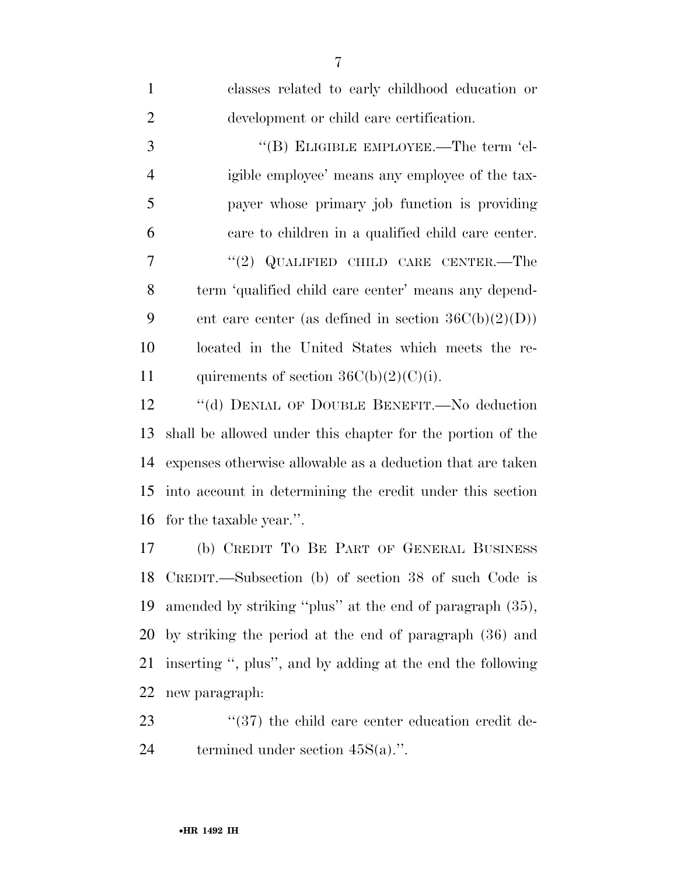| $\mathbf{1}$   | classes related to early childhood education or            |
|----------------|------------------------------------------------------------|
| $\overline{2}$ | development or child care certification.                   |
| 3              | "(B) ELIGIBLE EMPLOYEE.—The term 'el-                      |
| $\overline{4}$ | igible employee' means any employee of the tax-            |
| 5              | payer whose primary job function is providing              |
| 6              | care to children in a qualified child care center.         |
| 7              | "(2) QUALIFIED CHILD CARE CENTER.—The                      |
| 8              | term 'qualified child care center' means any depend-       |
| 9              | ent care center (as defined in section $36C(b)(2)(D)$ )    |
| 10             | located in the United States which meets the re-           |
| 11             | quirements of section $36C(b)(2)(C)(i)$ .                  |
| 12             | "(d) DENIAL OF DOUBLE BENEFIT.—No deduction                |
| 13             | shall be allowed under this chapter for the portion of the |
| 14             | expenses otherwise allowable as a deduction that are taken |
| 15             | into account in determining the credit under this section  |
| 16             | for the taxable year.".                                    |
| 17             | (b) CREDIT TO BE PART OF GENERAL BUSINESS                  |
| 18             | CREDIT.—Subsection (b) of section 38 of such Code is       |
| 19             | amended by striking "plus" at the end of paragraph (35),   |
| 20             | by striking the period at the end of paragraph (36) and    |
| 21             | inserting ", plus", and by adding at the end the following |
| 22             | new paragraph:                                             |
| 23             | "(37) the child care center education credit de-           |
| 24             | termined under section $45S(a)$ .".                        |